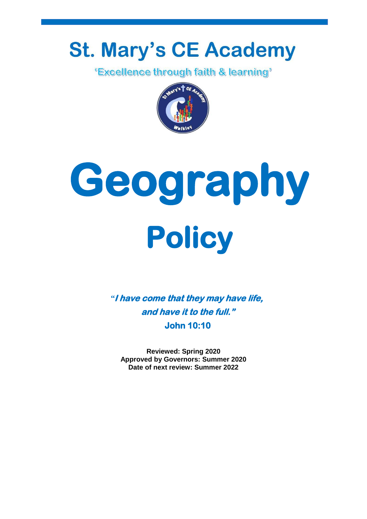# **St. Mary's CE Academy**

*Excellence through faith & learning* 





*"***I have come that they may have life, and have it to the full." John 10:10** 

**Reviewed: Spring 2020 Approved by Governors: Summer 2020 Date of next review: Summer 2022**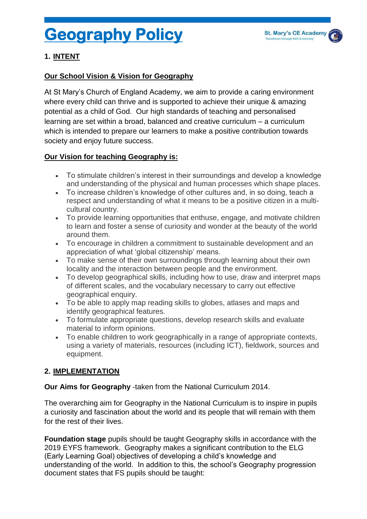# **Geography Policy**

# **1. INTENT**

#### **Our School Vision & Vision for Geography**

At St Mary's Church of England Academy, we aim to provide a caring environment where every child can thrive and is supported to achieve their unique & amazing potential as a child of God. Our high standards of teaching and personalised learning are set within a broad, balanced and creative curriculum – a curriculum which is intended to prepare our learners to make a positive contribution towards society and enjoy future success.

#### **Our Vision for teaching Geography is:**

- To stimulate children's interest in their surroundings and develop a knowledge and understanding of the physical and human processes which shape places.
- To increase children's knowledge of other cultures and, in so doing, teach a respect and understanding of what it means to be a positive citizen in a multicultural country.
- To provide learning opportunities that enthuse, engage, and motivate children to learn and foster a sense of curiosity and wonder at the beauty of the world around them.
- To encourage in children a commitment to sustainable development and an appreciation of what 'global citizenship' means.
- To make sense of their own surroundings through learning about their own locality and the interaction between people and the environment.
- To develop geographical skills, including how to use, draw and interpret maps of different scales, and the vocabulary necessary to carry out effective geographical enquiry.
- To be able to apply map reading skills to globes, atlases and maps and identify geographical features.
- To formulate appropriate questions, develop research skills and evaluate material to inform opinions.
- To enable children to work geographically in a range of appropriate contexts, using a variety of materials, resources (including ICT), fieldwork, sources and equipment.

# **2. IMPLEMENTATION**

**Our Aims for Geography** -taken from the National Curriculum 2014.

The overarching aim for Geography in the National Curriculum is to inspire in pupils a curiosity and fascination about the world and its people that will remain with them for the rest of their lives.

**Foundation stage** pupils should be taught Geography skills in accordance with the 2019 EYFS framework. Geography makes a significant contribution to the ELG (Early Learning Goal) objectives of developing a child's knowledge and understanding of the world. In addition to this, the school's Geography progression document states that FS pupils should be taught: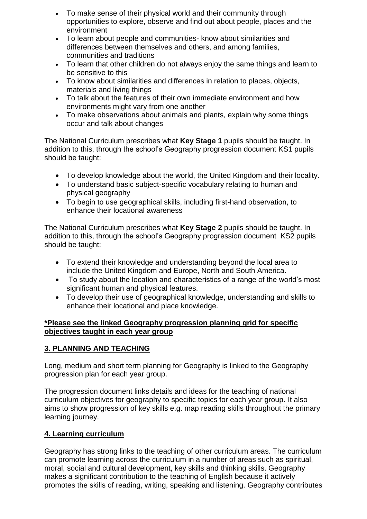- To make sense of their physical world and their community through opportunities to explore, observe and find out about people, places and the environment
- To learn about people and communities- know about similarities and differences between themselves and others, and among families, communities and traditions
- To learn that other children do not always enjoy the same things and learn to be sensitive to this
- To know about similarities and differences in relation to places, objects, materials and living things
- To talk about the features of their own immediate environment and how environments might vary from one another
- To make observations about animals and plants, explain why some things occur and talk about changes

The National Curriculum prescribes what **Key Stage 1** pupils should be taught. In addition to this, through the school's Geography progression document KS1 pupils should be taught:

- To develop knowledge about the world, the United Kingdom and their locality.
- To understand basic subject-specific vocabulary relating to human and physical geography
- To begin to use geographical skills, including first-hand observation, to enhance their locational awareness

The National Curriculum prescribes what **Key Stage 2** pupils should be taught. In addition to this, through the school's Geography progression document KS2 pupils should be taught:

- To extend their knowledge and understanding beyond the local area to include the United Kingdom and Europe, North and South America.
- To study about the location and characteristics of a range of the world's most significant human and physical features.
- To develop their use of geographical knowledge, understanding and skills to enhance their locational and place knowledge.

#### **\*Please see the linked Geography progression planning grid for specific objectives taught in each year group**

# **3. PLANNING AND TEACHING**

Long, medium and short term planning for Geography is linked to the Geography progression plan for each year group.

The progression document links details and ideas for the teaching of national curriculum objectives for geography to specific topics for each year group. It also aims to show progression of key skills e.g. map reading skills throughout the primary learning journey.

# **4. Learning curriculum**

Geography has strong links to the teaching of other curriculum areas. The curriculum can promote learning across the curriculum in a number of areas such as spiritual, moral, social and cultural development, key skills and thinking skills. Geography makes a significant contribution to the teaching of English because it actively promotes the skills of reading, writing, speaking and listening. Geography contributes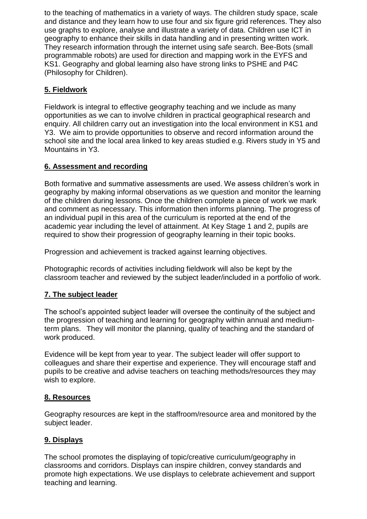to the teaching of mathematics in a variety of ways. The children study space, scale and distance and they learn how to use four and six figure grid references. They also use graphs to explore, analyse and illustrate a variety of data. Children use ICT in geography to enhance their skills in data handling and in presenting written work. They research information through the internet using safe search. Bee-Bots (small programmable robots) are used for direction and mapping work in the EYFS and KS1. Geography and global learning also have strong links to PSHE and P4C (Philosophy for Children).

# **5. Fieldwork**

Fieldwork is integral to effective geography teaching and we include as many opportunities as we can to involve children in practical geographical research and enquiry. All children carry out an investigation into the local environment in KS1 and Y3. We aim to provide opportunities to observe and record information around the school site and the local area linked to key areas studied e.g. Rivers study in Y5 and Mountains in Y3.

#### **6. Assessment and recording**

Both formative and summative assessments are used. We assess children's work in geography by making informal observations as we question and monitor the learning of the children during lessons. Once the children complete a piece of work we mark and comment as necessary. This information then informs planning. The progress of an individual pupil in this area of the curriculum is reported at the end of the academic year including the level of attainment. At Key Stage 1 and 2, pupils are required to show their progression of geography learning in their topic books.

Progression and achievement is tracked against learning objectives.

Photographic records of activities including fieldwork will also be kept by the classroom teacher and reviewed by the subject leader/included in a portfolio of work.

# **7. The subject leader**

The school's appointed subject leader will oversee the continuity of the subject and the progression of teaching and learning for geography within annual and mediumterm plans. They will monitor the planning, quality of teaching and the standard of work produced.

Evidence will be kept from year to year. The subject leader will offer support to colleagues and share their expertise and experience. They will encourage staff and pupils to be creative and advise teachers on teaching methods/resources they may wish to explore.

#### **8. Resources**

Geography resources are kept in the staffroom/resource area and monitored by the subject leader.

# **9. Displays**

The school promotes the displaying of topic/creative curriculum/geography in classrooms and corridors. Displays can inspire children, convey standards and promote high expectations. We use displays to celebrate achievement and support teaching and learning.